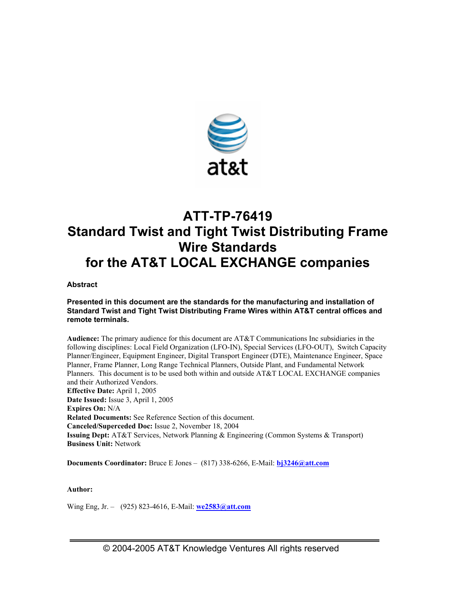

# **ATT-TP-76419 Standard Twist and Tight Twist Distributing Frame Wire Standards for the AT&T LOCAL EXCHANGE companies**

**Abstract** 

**Presented in this document are the standards for the manufacturing and installation of Standard Twist and Tight Twist Distributing Frame Wires within AT&T central offices and remote terminals.** 

**Audience:** The primary audience for this document are AT&T Communications Inc subsidiaries in the following disciplines: Local Field Organization (LFO-IN), Special Services (LFO-OUT), Switch Capacity Planner/Engineer, Equipment Engineer, Digital Transport Engineer (DTE), Maintenance Engineer, Space Planner, Frame Planner, Long Range Technical Planners, Outside Plant, and Fundamental Network Planners. This document is to be used both within and outside AT&T LOCAL EXCHANGE companies and their Authorized Vendors. **Effective Date:** April 1, 2005 **Date Issued:** Issue 3, April 1, 2005 **Expires On:** N/A **Related Documents:** See Reference Section of this document. **Canceled/Superceded Doc:** Issue 2, November 18, 2004 **Issuing Dept:** AT&T Services, Network Planning & Engineering (Common Systems & Transport) **Business Unit:** Network

**Documents Coordinator:** Bruce E Jones – (817) 338-6266, E-Mail: **bj3246@att.com**

**Author:** 

Wing Eng, Jr. – (925) 823-4616, E-Mail: **we2583@att.com**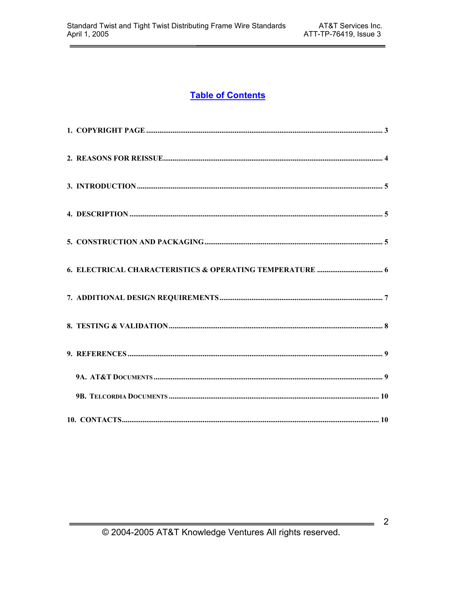# **Table of Contents**

 $\overline{\mathbf{2}}$ 

 $\qquad \qquad$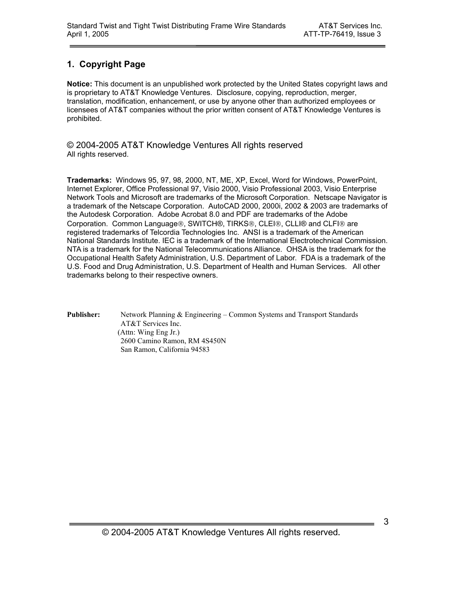# **1. Copyright Page**

**Notice:** This document is an unpublished work protected by the United States copyright laws and is proprietary to AT&T Knowledge Ventures. Disclosure, copying, reproduction, merger, translation, modification, enhancement, or use by anyone other than authorized employees or licensees of AT&T companies without the prior written consent of AT&T Knowledge Ventures is prohibited.

© 2004-2005 AT&T Knowledge Ventures All rights reserved All rights reserved.

**Trademarks:** Windows 95, 97, 98, 2000, NT, ME, XP, Excel, Word for Windows, PowerPoint, Internet Explorer, Office Professional 97, Visio 2000, Visio Professional 2003, Visio Enterprise Network Tools and Microsoft are trademarks of the Microsoft Corporation. Netscape Navigator is a trademark of the Netscape Corporation. AutoCAD 2000, 2000i, 2002 & 2003 are trademarks of the Autodesk Corporation. Adobe Acrobat 8.0 and PDF are trademarks of the Adobe Corporation. Common Language®, SWITCH®, TIRKS®, CLEI®, CLLI® and CLFI® are registered trademarks of Telcordia Technologies Inc. ANSI is a trademark of the American National Standards Institute. IEC is a trademark of the International Electrotechnical Commission. NTA is a trademark for the National Telecommunications Alliance. OHSA is the trademark for the Occupational Health Safety Administration, U.S. Department of Labor. FDA is a trademark of the U.S. Food and Drug Administration, U.S. Department of Health and Human Services. All other trademarks belong to their respective owners.

**Publisher:** Network Planning & Engineering – Common Systems and Transport Standards AT&T Services Inc. (Attn: Wing Eng Jr.) 2600 Camino Ramon, RM 4S450N San Ramon, California 94583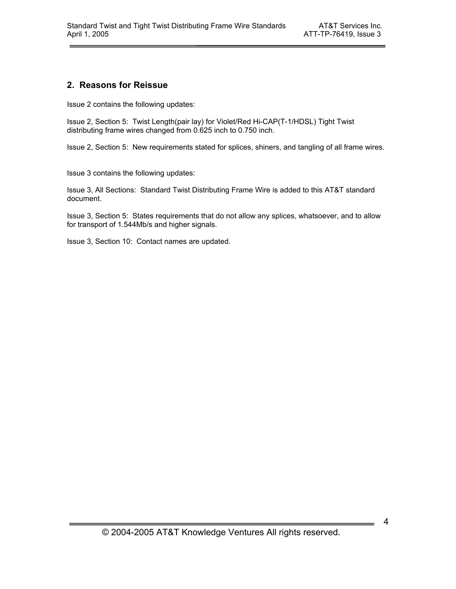# **2. Reasons for Reissue**

Issue 2 contains the following updates:

Issue 2, Section 5: Twist Length(pair lay) for Violet/Red Hi-CAP(T-1/HDSL) Tight Twist distributing frame wires changed from 0.625 inch to 0.750 inch.

Issue 2, Section 5: New requirements stated for splices, shiners, and tangling of all frame wires.

Issue 3 contains the following updates:

Issue 3, All Sections: Standard Twist Distributing Frame Wire is added to this AT&T standard document.

Issue 3, Section 5: States requirements that do not allow any splices, whatsoever, and to allow for transport of 1.544Mb/s and higher signals.

Issue 3, Section 10: Contact names are updated.

4

 $\overline{\phantom{0}}$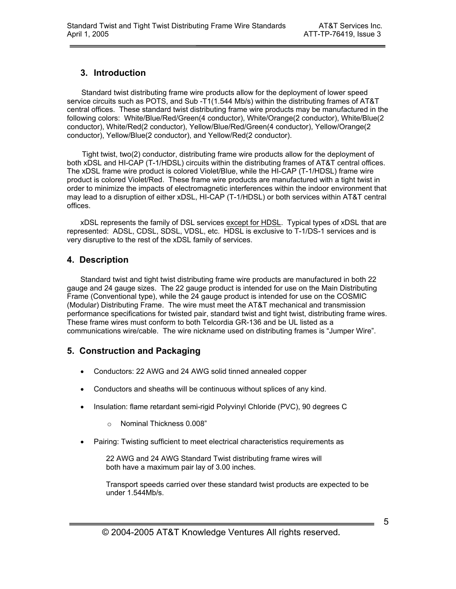# **3. Introduction**

 Standard twist distributing frame wire products allow for the deployment of lower speed service circuits such as POTS, and Sub -T1(1.544 Mb/s) within the distributing frames of AT&T central offices. These standard twist distributing frame wire products may be manufactured in the following colors: White/Blue/Red/Green(4 conductor), White/Orange(2 conductor), White/Blue(2 conductor), White/Red(2 conductor), Yellow/Blue/Red/Green(4 conductor), Yellow/Orange(2 conductor), Yellow/Blue(2 conductor), and Yellow/Red(2 conductor).

 Tight twist, two(2) conductor, distributing frame wire products allow for the deployment of both xDSL and HI-CAP (T-1/HDSL) circuits within the distributing frames of AT&T central offices. The xDSL frame wire product is colored Violet/Blue, while the HI-CAP (T-1/HDSL) frame wire product is colored Violet/Red. These frame wire products are manufactured with a tight twist in order to minimize the impacts of electromagnetic interferences within the indoor environment that may lead to a disruption of either xDSL, HI-CAP (T-1/HDSL) or both services within AT&T central offices.

xDSL represents the family of DSL services except for HDSL. Typical types of xDSL that are represented: ADSL, CDSL, SDSL, VDSL, etc. HDSL is exclusive to T-1/DS-1 services and is very disruptive to the rest of the xDSL family of services.

# **4. Description**

Standard twist and tight twist distributing frame wire products are manufactured in both 22 gauge and 24 gauge sizes. The 22 gauge product is intended for use on the Main Distributing Frame (Conventional type), while the 24 gauge product is intended for use on the COSMIC (Modular) Distributing Frame. The wire must meet the AT&T mechanical and transmission performance specifications for twisted pair, standard twist and tight twist, distributing frame wires. These frame wires must conform to both Telcordia GR-136 and be UL listed as a communications wire/cable. The wire nickname used on distributing frames is "Jumper Wire".

# **5. Construction and Packaging**

- Conductors: 22 AWG and 24 AWG solid tinned annealed copper
- Conductors and sheaths will be continuous without splices of any kind.
- Insulation: flame retardant semi-rigid Polyvinyl Chloride (PVC), 90 degrees C
	- o Nominal Thickness 0.008"
- Pairing: Twisting sufficient to meet electrical characteristics requirements as

 22 AWG and 24 AWG Standard Twist distributing frame wires will both have a maximum pair lay of 3.00 inches.

 Transport speeds carried over these standard twist products are expected to be under 1.544Mb/s.

5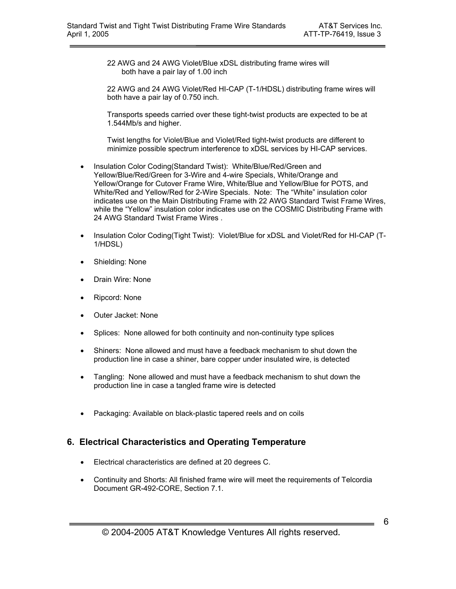22 AWG and 24 AWG Violet/Blue xDSL distributing frame wires will both have a pair lay of 1.00 inch

22 AWG and 24 AWG Violet/Red HI-CAP (T-1/HDSL) distributing frame wires will both have a pair lay of 0.750 inch.

Transports speeds carried over these tight-twist products are expected to be at 1.544Mb/s and higher.

Twist lengths for Violet/Blue and Violet/Red tight-twist products are different to minimize possible spectrum interference to xDSL services by HI-CAP services.

- Insulation Color Coding(Standard Twist): White/Blue/Red/Green and Yellow/Blue/Red/Green for 3-Wire and 4-wire Specials, White/Orange and Yellow/Orange for Cutover Frame Wire, White/Blue and Yellow/Blue for POTS, and White/Red and Yellow/Red for 2-Wire Specials. Note: The "White" insulation color indicates use on the Main Distributing Frame with 22 AWG Standard Twist Frame Wires, while the "Yellow" insulation color indicates use on the COSMIC Distributing Frame with 24 AWG Standard Twist Frame Wires .
- Insulation Color Coding(Tight Twist): Violet/Blue for xDSL and Violet/Red for HI-CAP (T-1/HDSL)
- Shielding: None
- Drain Wire: None
- Ripcord: None
- Outer Jacket: None
- Splices: None allowed for both continuity and non-continuity type splices
- Shiners: None allowed and must have a feedback mechanism to shut down the production line in case a shiner, bare copper under insulated wire, is detected
- Tangling: None allowed and must have a feedback mechanism to shut down the production line in case a tangled frame wire is detected
- Packaging: Available on black-plastic tapered reels and on coils

# **6. Electrical Characteristics and Operating Temperature**

- Electrical characteristics are defined at 20 degrees C.
- Continuity and Shorts: All finished frame wire will meet the requirements of Telcordia Document GR-492-CORE, Section 7.1.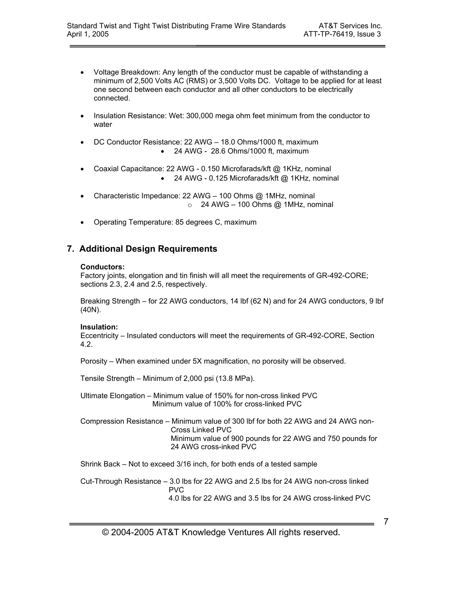- Voltage Breakdown: Any length of the conductor must be capable of withstanding a minimum of 2,500 Volts AC (RMS) or 3,500 Volts DC. Voltage to be applied for at least one second between each conductor and all other conductors to be electrically connected.
- Insulation Resistance: Wet: 300,000 mega ohm feet minimum from the conductor to water
- DC Conductor Resistance: 22 AWG 18.0 Ohms/1000 ft, maximum • 24 AWG - 28.6 Ohms/1000 ft, maximum
- Coaxial Capacitance: 22 AWG 0.150 Microfarads/kft @ 1KHz, nominal • 24 AWG - 0.125 Microfarads/kft @ 1KHz, nominal
- Characteristic Impedance: 22 AWG 100 Ohms @ 1MHz, nominal  $\circ$  24 AWG – 100 Ohms @ 1MHz, nominal
- Operating Temperature: 85 degrees C, maximum

# **7. Additional Design Requirements**

#### **Conductors:**

Factory joints, elongation and tin finish will all meet the requirements of GR-492-CORE; sections 2.3, 2.4 and 2.5, respectively.

Breaking Strength – for 22 AWG conductors, 14 lbf (62 N) and for 24 AWG conductors, 9 lbf (40N).

#### **Insulation:**

Eccentricity – Insulated conductors will meet the requirements of GR-492-CORE, Section 4.2.

Porosity – When examined under 5X magnification, no porosity will be observed.

Tensile Strength – Minimum of 2,000 psi (13.8 MPa).

- Ultimate Elongation Minimum value of 150% for non-cross linked PVC Minimum value of 100% for cross-linked PVC
- Compression Resistance Minimum value of 300 lbf for both 22 AWG and 24 AWG non- Cross Linked PVC Minimum value of 900 pounds for 22 AWG and 750 pounds for 24 AWG cross-inked PVC

Shrink Back – Not to exceed 3/16 inch, for both ends of a tested sample

Cut-Through Resistance – 3.0 lbs for 22 AWG and 2.5 lbs for 24 AWG non-cross linked PVC 4.0 lbs for 22 AWG and 3.5 lbs for 24 AWG cross-linked PVC

7

 $\overline{\phantom{0}}$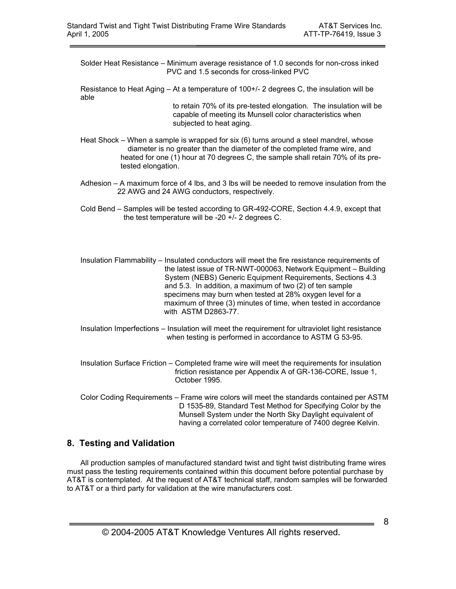- Solder Heat Resistance Minimum average resistance of 1.0 seconds for non-cross inked PVC and 1.5 seconds for cross-linked PVC
- Resistance to Heat Aging At a temperature of 100+/- 2 degrees C, the insulation will be able

 to retain 70% of its pre-tested elongation. The insulation will be capable of meeting its Munsell color characteristics when subjected to heat aging.

- Heat Shock When a sample is wrapped for six (6) turns around a steel mandrel, whose diameter is no greater than the diameter of the completed frame wire, and heated for one (1) hour at 70 degrees C, the sample shall retain 70% of its pretested elongation.
- Adhesion A maximum force of 4 lbs, and 3 lbs will be needed to remove insulation from the 22 AWG and 24 AWG conductors, respectively.
- Cold Bend Samples will be tested according to GR-492-CORE, Section 4.4.9, except that the test temperature will be -20 +/- 2 degrees C.
- Insulation Flammability Insulated conductors will meet the fire resistance requirements of the latest issue of TR-NWT-000063, Network Equipment – Building System (NEBS) Generic Equipment Requirements, Sections 4.3 and 5.3. In addition, a maximum of two (2) of ten sample specimens may burn when tested at 28% oxygen level for a maximum of three (3) minutes of time, when tested in accordance with ASTM D2863-77.
- Insulation Imperfections Insulation will meet the requirement for ultraviolet light resistance when testing is performed in accordance to ASTM G 53-95.
- Insulation Surface Friction Completed frame wire will meet the requirements for insulation friction resistance per Appendix A of GR-136-CORE, Issue 1, October 1995.
- Color Coding Requirements Frame wire colors will meet the standards contained per ASTM D 1535-89, Standard Test Method for Specifying Color by the Munsell System under the North Sky Daylight equivalent of having a correlated color temperature of 7400 degree Kelvin.

# **8. Testing and Validation**

All production samples of manufactured standard twist and tight twist distributing frame wires must pass the testing requirements contained within this document before potential purchase by AT&T is contemplated. At the request of AT&T technical staff, random samples will be forwarded to AT&T or a third party for validation at the wire manufacturers cost.

8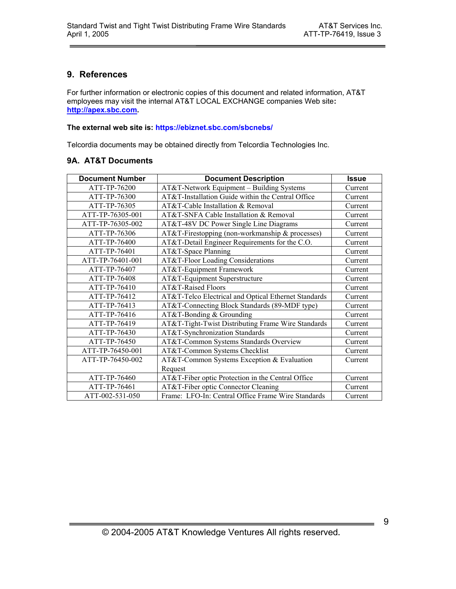# **9. References**

For further information or electronic copies of this document and related information, AT&T employees may visit the internal AT&T LOCAL EXCHANGE companies Web site**: http://apex.sbc.com.** 

#### **The external web site is: https://ebiznet.sbc.com/sbcnebs/**

Telcordia documents may be obtained directly from Telcordia Technologies Inc.

### **9A. AT&T Documents**

| <b>Document Number</b> | <b>Document Description</b>                          | <b>Issue</b> |
|------------------------|------------------------------------------------------|--------------|
| ATT-TP-76200           | AT&T-Network Equipment - Building Systems            | Current      |
| ATT-TP-76300           | AT&T-Installation Guide within the Central Office    | Current      |
| ATT-TP-76305           | AT&T-Cable Installation & Removal                    | Current      |
| ATT-TP-76305-001       | AT&T-SNFA Cable Installation & Removal               | Current      |
| ATT-TP-76305-002       | AT&T-48V DC Power Single Line Diagrams               | Current      |
| ATT-TP-76306           | AT&T-Firestopping (non-workmanship & processes)      | Current      |
| ATT-TP-76400           | AT&T-Detail Engineer Requirements for the C.O.       | Current      |
| ATT-TP-76401           | AT&T-Space Planning                                  | Current      |
| ATT-TP-76401-001       | AT&T-Floor Loading Considerations                    | Current      |
| ATT-TP-76407           | AT&T-Equipment Framework                             | Current      |
| ATT-TP-76408           | AT&T-Equipment Superstructure                        | Current      |
| ATT-TP-76410           | AT&T-Raised Floors                                   | Current      |
| ATT-TP-76412           | AT&T-Telco Electrical and Optical Ethernet Standards | Current      |
| ATT-TP-76413           | AT&T-Connecting Block Standards (89-MDF type)        | Current      |
| ATT-TP-76416           | AT&T-Bonding & Grounding                             | Current      |
| ATT-TP-76419           | AT&T-Tight-Twist Distributing Frame Wire Standards   | Current      |
| ATT-TP-76430           | AT&T-Synchronization Standards                       | Current      |
| ATT-TP-76450           | AT&T-Common Systems Standards Overview               | Current      |
| ATT-TP-76450-001       | AT&T-Common Systems Checklist                        | Current      |
| ATT-TP-76450-002       | AT&T-Common Systems Exception & Evaluation           | Current      |
|                        | Request                                              |              |
| ATT-TP-76460           | AT&T-Fiber optic Protection in the Central Office    | Current      |
| ATT-TP-76461           | AT&T-Fiber optic Connector Cleaning                  | Current      |
| ATT-002-531-050        | Frame: LFO-In: Central Office Frame Wire Standards   | Current      |

9

 $\equiv$